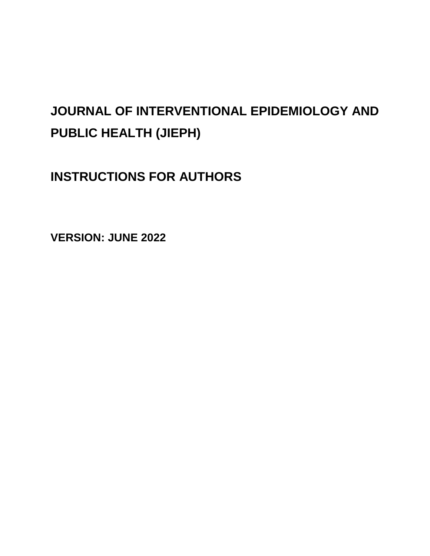# **JOURNAL OF INTERVENTIONAL EPIDEMIOLOGY AND PUBLIC HEALTH (JIEPH)**

**INSTRUCTIONS FOR AUTHORS**

**VERSION: JUNE 2022**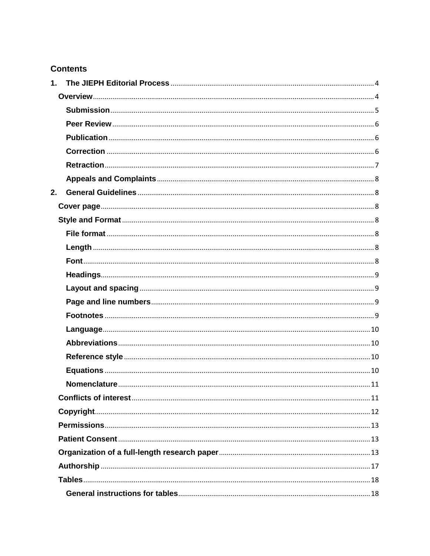### **Contents**

| 1. |  |
|----|--|
|    |  |
|    |  |
|    |  |
|    |  |
|    |  |
|    |  |
|    |  |
| 2. |  |
|    |  |
|    |  |
|    |  |
|    |  |
|    |  |
|    |  |
|    |  |
|    |  |
|    |  |
|    |  |
|    |  |
|    |  |
|    |  |
|    |  |
|    |  |
|    |  |
|    |  |
|    |  |
|    |  |
|    |  |
|    |  |
|    |  |
|    |  |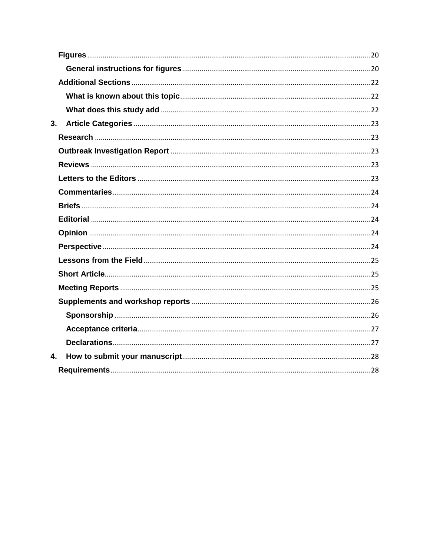| 3. |  |
|----|--|
|    |  |
|    |  |
|    |  |
|    |  |
|    |  |
|    |  |
|    |  |
|    |  |
|    |  |
|    |  |
|    |  |
|    |  |
|    |  |
|    |  |
|    |  |
|    |  |
| 4. |  |
|    |  |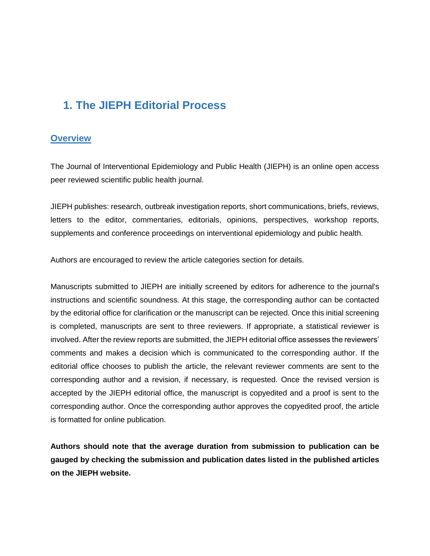# <span id="page-3-0"></span>**1. The JIEPH Editorial Process**

### <span id="page-3-1"></span>**Overview**

The Journal of Interventional Epidemiology and Public Health (JIEPH) is an online open access peer reviewed scientific public health journal.

JIEPH publishes: research, outbreak investigation reports, short communications, briefs, reviews, letters to the editor, commentaries, editorials, opinions, perspectives, workshop reports, supplements and conference proceedings on interventional epidemiology and public health.

Authors are encouraged to review the article categories section for details.

Manuscripts submitted to JIEPH are initially screened by editors for adherence to the journal's instructions and scientific soundness. At this stage, the corresponding author can be contacted by the editorial office for clarification or the manuscript can be rejected. Once this initial screening is completed, manuscripts are sent to three reviewers. If appropriate, a statistical reviewer is involved. After the review reports are submitted, the JIEPH editorial office assesses the reviewers' comments and makes a decision which is communicated to the corresponding author. If the editorial office chooses to publish the article, the relevant reviewer comments are sent to the corresponding author and a revision, if necessary, is requested. Once the revised version is accepted by the JIEPH editorial office, the manuscript is copyedited and a proof is sent to the corresponding author. Once the corresponding author approves the copyedited proof, the article is formatted for online publication.

**Authors should note that the average duration from submission to publication can be gauged by checking the submission and publication dates listed in the published articles on the JIEPH website.**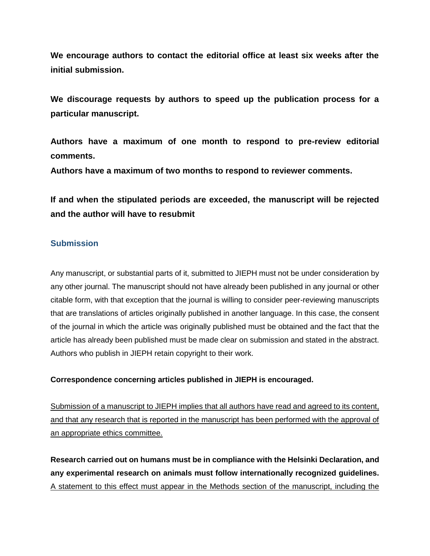**We encourage authors to contact the editorial office at least six weeks after the initial submission.** 

**We discourage requests by authors to speed up the publication process for a particular manuscript.**

**Authors have a maximum of one month to respond to pre-review editorial comments.**

**Authors have a maximum of two months to respond to reviewer comments.**

**If and when the stipulated periods are exceeded, the manuscript will be rejected and the author will have to resubmit**

### <span id="page-4-0"></span>**Submission**

Any manuscript, or substantial parts of it, submitted to JIEPH must not be under consideration by any other journal. The manuscript should not have already been published in any journal or other citable form, with that exception that the journal is willing to consider peer-reviewing manuscripts that are translations of articles originally published in another language. In this case, the consent of the journal in which the article was originally published must be obtained and the fact that the article has already been published must be made clear on submission and stated in the abstract. Authors who publish in JIEPH retain copyright to their work.

### **Correspondence concerning articles published in JIEPH is encouraged.**

Submission of a manuscript to JIEPH implies that all authors have read and agreed to its content, and that any research that is reported in the manuscript has been performed with the approval of an appropriate ethics committee.

**Research carried out on humans must be in compliance with the Helsinki Declaration, and any experimental research on animals must follow internationally recognized guidelines.** A statement to this effect must appear in the Methods section of the manuscript, including the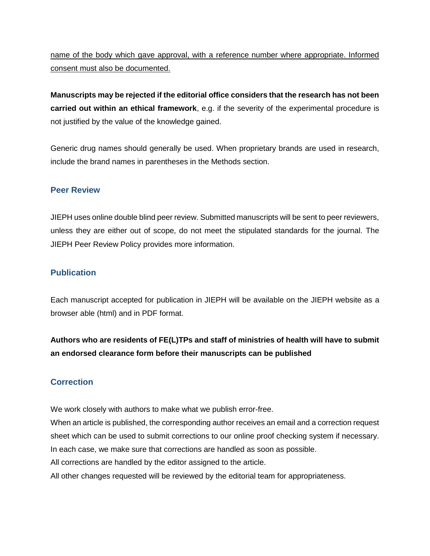### name of the body which gave approval, with a reference number where appropriate. Informed consent must also be documented.

**Manuscripts may be rejected if the editorial office considers that the research has not been carried out within an ethical framework**, e.g. if the severity of the experimental procedure is not justified by the value of the knowledge gained.

Generic drug names should generally be used. When proprietary brands are used in research, include the brand names in parentheses in the Methods section.

### <span id="page-5-0"></span>**Peer Review**

JIEPH uses online double blind peer review. Submitted manuscripts will be sent to peer reviewers, unless they are either out of scope, do not meet the stipulated standards for the journal. The JIEPH Peer Review Policy provides more information.

### <span id="page-5-1"></span>**Publication**

Each manuscript accepted for publication in JIEPH will be available on the JIEPH website as a browser able (html) and in PDF format.

**Authors who are residents of FE(L)TPs and staff of ministries of health will have to submit an endorsed clearance form before their manuscripts can be published**

### <span id="page-5-2"></span>**Correction**

We work closely with authors to make what we publish error-free.

When an article is published, the corresponding author receives an email and a correction request sheet which can be used to submit corrections to our online proof checking system if necessary. In each case, we make sure that corrections are handled as soon as possible.

All corrections are handled by the editor assigned to the article.

All other changes requested will be reviewed by the editorial team for appropriateness.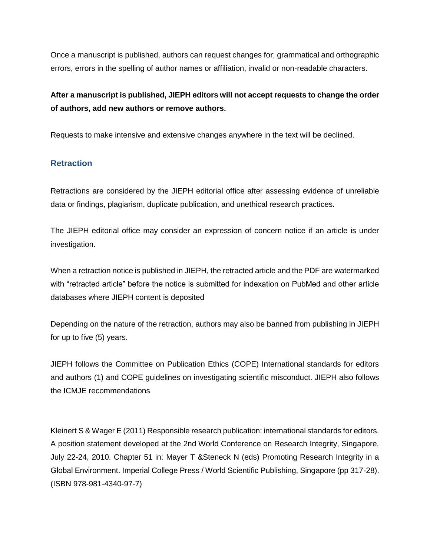Once a manuscript is published, authors can request changes for; grammatical and orthographic errors, errors in the spelling of author names or affiliation, invalid or non-readable characters.

### **After a manuscript is published, JIEPH editors will not accept requests to change the order of authors, add new authors or remove authors.**

Requests to make intensive and extensive changes anywhere in the text will be declined.

### <span id="page-6-0"></span>**Retraction**

Retractions are considered by the JIEPH editorial office after assessing evidence of unreliable data or findings, plagiarism, duplicate publication, and unethical research practices.

The JIEPH editorial office may consider an expression of concern notice if an article is under investigation.

When a retraction notice is published in JIEPH, the retracted article and the PDF are watermarked with "retracted article" before the notice is submitted for indexation on PubMed and other article databases where JIEPH content is deposited

Depending on the nature of the retraction, authors may also be banned from publishing in JIEPH for up to five (5) years.

JIEPH follows the Committee on Publication Ethics (COPE) International standards for editors and authors (1) and COPE guidelines on investigating scientific misconduct. JIEPH also follows the ICMJE recommendations

Kleinert S & Wager E (2011) Responsible research publication: international standards for editors. A position statement developed at the 2nd World Conference on Research Integrity, Singapore, July 22-24, 2010. Chapter 51 in: Mayer T &Steneck N (eds) Promoting Research Integrity in a Global Environment. Imperial College Press / World Scientific Publishing, Singapore (pp 317-28). (ISBN 978-981-4340-97-7)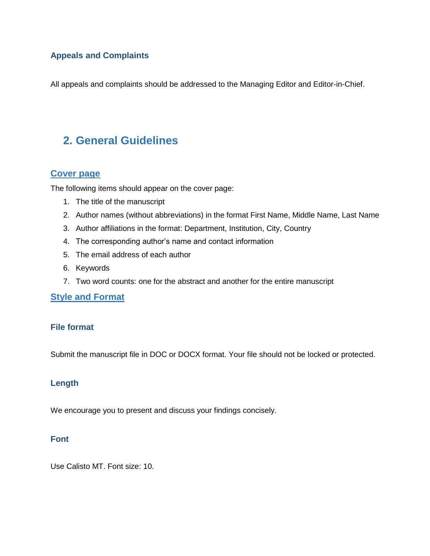### <span id="page-7-0"></span>**Appeals and Complaints**

All appeals and complaints should be addressed to the Managing Editor and Editor-in-Chief.

## <span id="page-7-1"></span>**2. General Guidelines**

### <span id="page-7-2"></span>**Cover page**

The following items should appear on the cover page:

- 1. The title of the manuscript
- 2. Author names (without abbreviations) in the format First Name, Middle Name, Last Name
- 3. Author affiliations in the format: Department, Institution, City, Country
- 4. The corresponding author's name and contact information
- 5. The email address of each author
- 6. Keywords
- 7. Two word counts: one for the abstract and another for the entire manuscript

### <span id="page-7-3"></span>**Style and Format**

#### <span id="page-7-4"></span>**File format**

Submit the manuscript file in DOC or DOCX format. Your file should not be locked or protected.

#### <span id="page-7-5"></span>**Length**

We encourage you to present and discuss your findings concisely.

#### <span id="page-7-6"></span>**Font**

Use Calisto MT. Font size: 10.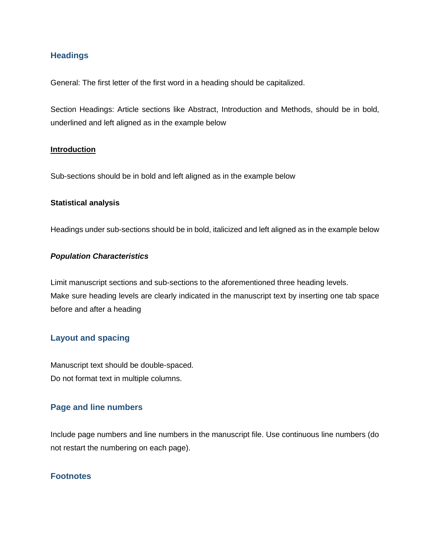### <span id="page-8-0"></span>**Headings**

General: The first letter of the first word in a heading should be capitalized.

Section Headings: Article sections like Abstract, Introduction and Methods, should be in bold, underlined and left aligned as in the example below

#### **Introduction**

Sub-sections should be in bold and left aligned as in the example below

#### **Statistical analysis**

Headings under sub-sections should be in bold, italicized and left aligned as in the example below

#### *Population Characteristics*

Limit manuscript sections and sub-sections to the aforementioned three heading levels. Make sure heading levels are clearly indicated in the manuscript text by inserting one tab space before and after a heading

### <span id="page-8-1"></span>**Layout and spacing**

Manuscript text should be double-spaced. Do not format text in multiple columns.

### <span id="page-8-2"></span>**Page and line numbers**

Include page numbers and line numbers in the manuscript file. Use continuous line numbers (do not restart the numbering on each page).

#### <span id="page-8-3"></span>**Footnotes**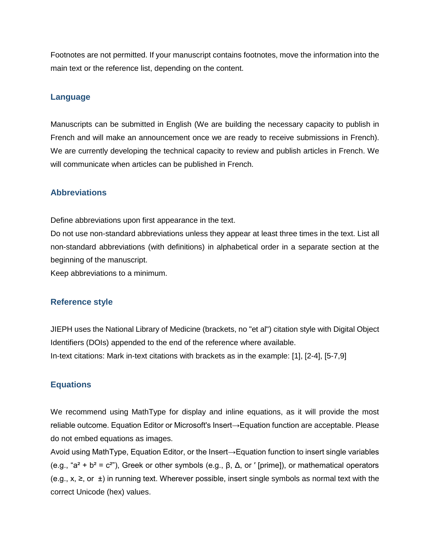Footnotes are not permitted. If your manuscript contains footnotes, move the information into the main text or the reference list, depending on the content.

#### <span id="page-9-0"></span>**Language**

Manuscripts can be submitted in English (We are building the necessary capacity to publish in French and will make an announcement once we are ready to receive submissions in French). We are currently developing the technical capacity to review and publish articles in French. We will communicate when articles can be published in French.

### <span id="page-9-1"></span>**Abbreviations**

Define abbreviations upon first appearance in the text.

Do not use non-standard abbreviations unless they appear at least three times in the text. List all non-standard abbreviations (with definitions) in alphabetical order in a separate section at the beginning of the manuscript.

Keep abbreviations to a minimum.

#### <span id="page-9-2"></span>**Reference style**

JIEPH uses the National Library of Medicine (brackets, no "et al") citation style with Digital Object Identifiers (DOIs) appended to the end of the reference where available. In-text citations: Mark in-text citations with brackets as in the example: [1], [2-4], [5-7,9]

### <span id="page-9-3"></span>**Equations**

We recommend using MathType for display and inline equations, as it will provide the most reliable outcome. Equation Editor or Microsoft's Insert→Equation function are acceptable. Please do not embed equations as images.

Avoid using MathType, Equation Editor, or the Insert→Equation function to insert single variables (e.g., "a<sup>2</sup> + b<sup>2</sup> = c<sup>2</sup>"), Greek or other symbols (e.g., β, Δ, or '[prime]), or mathematical operators (e.g., x, ≥, or  $±$ ) in running text. Wherever possible, insert single symbols as normal text with the correct Unicode (hex) values.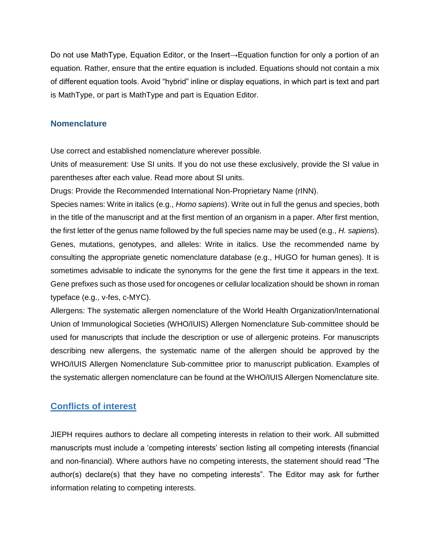Do not use MathType, Equation Editor, or the Insert→Equation function for only a portion of an equation. Rather, ensure that the entire equation is included. Equations should not contain a mix of different equation tools. Avoid "hybrid" inline or display equations, in which part is text and part is MathType, or part is MathType and part is Equation Editor.

#### <span id="page-10-0"></span>**Nomenclature**

Use correct and established nomenclature wherever possible.

Units of measurement: Use SI units. If you do not use these exclusively, provide the SI value in parentheses after each value. Read more about SI units.

Drugs: Provide the Recommended International Non-Proprietary Name (rINN).

Species names: Write in italics (e.g., *Homo sapiens*). Write out in full the genus and species, both in the title of the manuscript and at the first mention of an organism in a paper. After first mention, the first letter of the genus name followed by the full species name may be used (e.g., *H. sapiens*). Genes, mutations, genotypes, and alleles: Write in italics. Use the recommended name by consulting the appropriate genetic nomenclature database (e.g., HUGO for human genes). It is sometimes advisable to indicate the synonyms for the gene the first time it appears in the text. Gene prefixes such as those used for oncogenes or cellular localization should be shown in roman typeface (e.g., v-fes, c-MYC).

Allergens: The systematic allergen nomenclature of the World Health Organization/International Union of Immunological Societies (WHO/IUIS) Allergen Nomenclature Sub-committee should be used for manuscripts that include the description or use of allergenic proteins. For manuscripts describing new allergens, the systematic name of the allergen should be approved by the WHO/IUIS Allergen Nomenclature Sub-committee prior to manuscript publication. Examples of the systematic allergen nomenclature can be found at the WHO/IUIS Allergen Nomenclature site.

### <span id="page-10-1"></span>**Conflicts of interest**

JIEPH requires authors to declare all competing interests in relation to their work. All submitted manuscripts must include a 'competing interests' section listing all competing interests (financial and non-financial). Where authors have no competing interests, the statement should read "The author(s) declare(s) that they have no competing interests". The Editor may ask for further information relating to competing interests.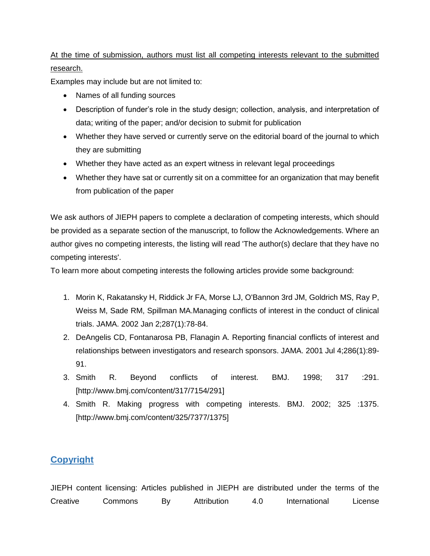### At the time of submission, authors must list all competing interests relevant to the submitted research.

Examples may include but are not limited to:

- Names of all funding sources
- Description of funder's role in the study design; collection, analysis, and interpretation of data; writing of the paper; and/or decision to submit for publication
- Whether they have served or currently serve on the editorial board of the journal to which they are submitting
- Whether they have acted as an expert witness in relevant legal proceedings
- Whether they have sat or currently sit on a committee for an organization that may benefit from publication of the paper

We ask authors of JIEPH papers to complete a declaration of competing interests, which should be provided as a separate section of the manuscript, to follow the Acknowledgements. Where an author gives no competing interests, the listing will read 'The author(s) declare that they have no competing interests'.

To learn more about competing interests the following articles provide some background:

- 1. Morin K, Rakatansky H, Riddick Jr FA, Morse LJ, O'Bannon 3rd JM, Goldrich MS, Ray P, Weiss M, Sade RM, Spillman MA.Managing conflicts of interest in the conduct of clinical trials. JAMA. 2002 Jan 2;287(1):78-84.
- 2. DeAngelis CD, Fontanarosa PB, Flanagin A. Reporting financial conflicts of interest and relationships between investigators and research sponsors. JAMA. 2001 Jul 4;286(1):89- 91.
- 3. Smith R. Beyond conflicts of interest. BMJ. 1998; 317 :291. [http://www.bmj.com/content/317/7154/291]
- 4. Smith R. Making progress with competing interests. BMJ. 2002; 325 :1375. [http://www.bmj.com/content/325/7377/1375]

### <span id="page-11-0"></span>**Copyright**

JIEPH content licensing: Articles published in JIEPH are distributed under the terms of the Creative Commons By Attribution 4.0 International License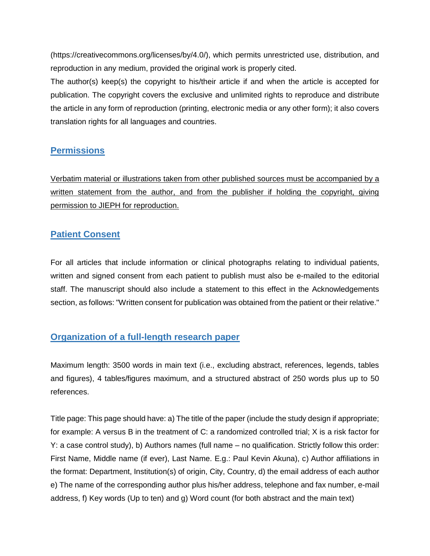(https://creativecommons.org/licenses/by/4.0/), which permits unrestricted use, distribution, and reproduction in any medium, provided the original work is properly cited.

The author(s) keep(s) the copyright to his/their article if and when the article is accepted for publication. The copyright covers the exclusive and unlimited rights to reproduce and distribute the article in any form of reproduction (printing, electronic media or any other form); it also covers translation rights for all languages and countries.

### <span id="page-12-0"></span>**Permissions**

Verbatim material or illustrations taken from other published sources must be accompanied by a written statement from the author, and from the publisher if holding the copyright, giving permission to JIEPH for reproduction.

### <span id="page-12-1"></span>**Patient Consent**

For all articles that include information or clinical photographs relating to individual patients, written and signed consent from each patient to publish must also be e-mailed to the editorial staff. The manuscript should also include a statement to this effect in the Acknowledgements section, as follows: "Written consent for publication was obtained from the patient or their relative."

### <span id="page-12-2"></span>**Organization of a full-length research paper**

Maximum length: 3500 words in main text (i.e., excluding abstract, references, legends, tables and figures), 4 tables/figures maximum, and a structured abstract of 250 words plus up to 50 references.

Title page: This page should have: a) The title of the paper (include the study design if appropriate; for example: A versus B in the treatment of C: a randomized controlled trial; X is a risk factor for Y: a case control study), b) Authors names (full name – no qualification. Strictly follow this order: First Name, Middle name (if ever), Last Name. E.g.: Paul Kevin Akuna), c) Author affiliations in the format: Department, Institution(s) of origin, City, Country, d) the email address of each author e) The name of the corresponding author plus his/her address, telephone and fax number, e-mail address, f) Key words (Up to ten) and g) Word count (for both abstract and the main text)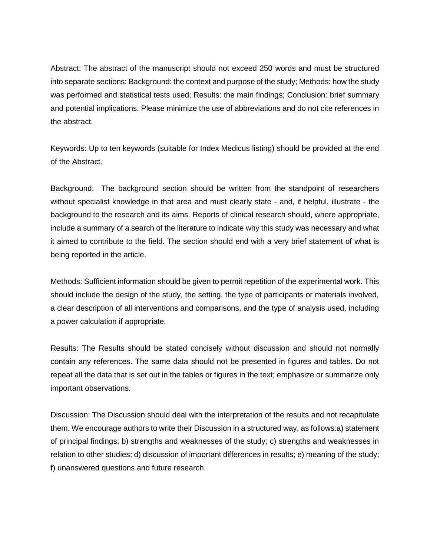Abstract: The abstract of the manuscript should not exceed 250 words and must be structured into separate sections: Background: the context and purpose of the study; Methods: how the study was performed and statistical tests used; Results: the main findings; Conclusion: brief summary and potential implications. Please minimize the use of abbreviations and do not cite references in the abstract.

Keywords: Up to ten keywords (suitable for Index Medicus listing) should be provided at the end of the Abstract.

Background: The background section should be written from the standpoint of researchers without specialist knowledge in that area and must clearly state - and, if helpful, illustrate - the background to the research and its aims. Reports of clinical research should, where appropriate, include a summary of a search of the literature to indicate why this study was necessary and what it aimed to contribute to the field. The section should end with a very brief statement of what is being reported in the article.

Methods: Sufficient information should be given to permit repetition of the experimental work. This should include the design of the study, the setting, the type of participants or materials involved, a clear description of all interventions and comparisons, and the type of analysis used, including a power calculation if appropriate.

Results: The Results should be stated concisely without discussion and should not normally contain any references. The same data should not be presented in figures and tables. Do not repeat all the data that is set out in the tables or figures in the text; emphasize or summarize only important observations.

Discussion: The Discussion should deal with the interpretation of the results and not recapitulate them. We encourage authors to write their Discussion in a structured way, as follows:a) statement of principal findings; b) strengths and weaknesses of the study; c) strengths and weaknesses in relation to other studies; d) discussion of important differences in results; e) meaning of the study; f) unanswered questions and future research.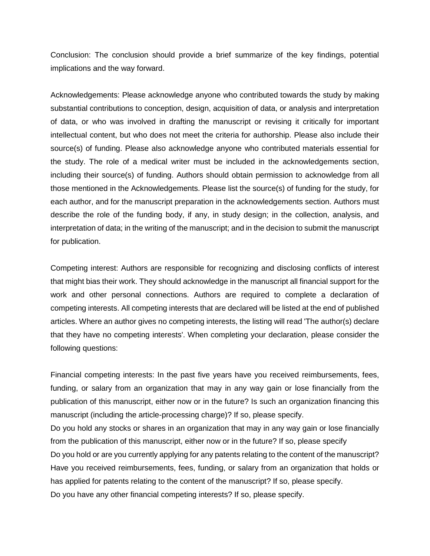Conclusion: The conclusion should provide a brief summarize of the key findings, potential implications and the way forward.

Acknowledgements: Please acknowledge anyone who contributed towards the study by making substantial contributions to conception, design, acquisition of data, or analysis and interpretation of data, or who was involved in drafting the manuscript or revising it critically for important intellectual content, but who does not meet the criteria for authorship. Please also include their source(s) of funding. Please also acknowledge anyone who contributed materials essential for the study. The role of a medical writer must be included in the acknowledgements section, including their source(s) of funding. Authors should obtain permission to acknowledge from all those mentioned in the Acknowledgements. Please list the source(s) of funding for the study, for each author, and for the manuscript preparation in the acknowledgements section. Authors must describe the role of the funding body, if any, in study design; in the collection, analysis, and interpretation of data; in the writing of the manuscript; and in the decision to submit the manuscript for publication.

Competing interest: Authors are responsible for recognizing and disclosing conflicts of interest that might bias their work. They should acknowledge in the manuscript all financial support for the work and other personal connections. Authors are required to complete a declaration of competing interests. All competing interests that are declared will be listed at the end of published articles. Where an author gives no competing interests, the listing will read 'The author(s) declare that they have no competing interests'. When completing your declaration, please consider the following questions:

Financial competing interests: In the past five years have you received reimbursements, fees, funding, or salary from an organization that may in any way gain or lose financially from the publication of this manuscript, either now or in the future? Is such an organization financing this manuscript (including the article-processing charge)? If so, please specify.

Do you hold any stocks or shares in an organization that may in any way gain or lose financially from the publication of this manuscript, either now or in the future? If so, please specify

Do you hold or are you currently applying for any patents relating to the content of the manuscript? Have you received reimbursements, fees, funding, or salary from an organization that holds or has applied for patents relating to the content of the manuscript? If so, please specify.

Do you have any other financial competing interests? If so, please specify.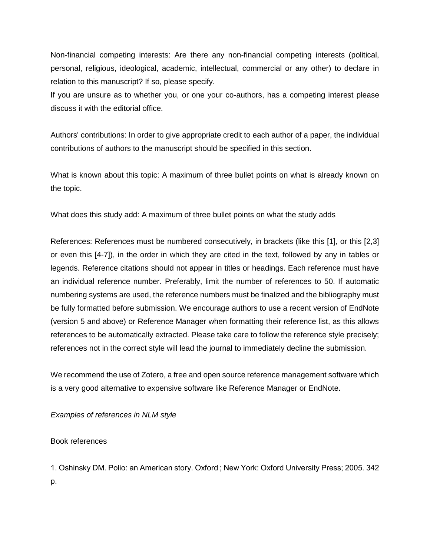Non-financial competing interests: Are there any non-financial competing interests (political, personal, religious, ideological, academic, intellectual, commercial or any other) to declare in relation to this manuscript? If so, please specify.

If you are unsure as to whether you, or one your co-authors, has a competing interest please discuss it with the editorial office.

Authors' contributions: In order to give appropriate credit to each author of a paper, the individual contributions of authors to the manuscript should be specified in this section.

What is known about this topic: A maximum of three bullet points on what is already known on the topic.

What does this study add: A maximum of three bullet points on what the study adds

References: References must be numbered consecutively, in brackets (like this [1], or this [2,3] or even this [4-7]), in the order in which they are cited in the text, followed by any in tables or legends. Reference citations should not appear in titles or headings. Each reference must have an individual reference number. Preferably, limit the number of references to 50. If automatic numbering systems are used, the reference numbers must be finalized and the bibliography must be fully formatted before submission. We encourage authors to use a recent version of EndNote (version 5 and above) or Reference Manager when formatting their reference list, as this allows references to be automatically extracted. Please take care to follow the reference style precisely; references not in the correct style will lead the journal to immediately decline the submission.

We recommend the use of Zotero, a free and open source reference management software which is a very good alternative to expensive software like Reference Manager or EndNote.

*Examples of references in NLM style*

Book references

1. Oshinsky DM. Polio: an American story. Oxford ; New York: Oxford University Press; 2005. 342 p.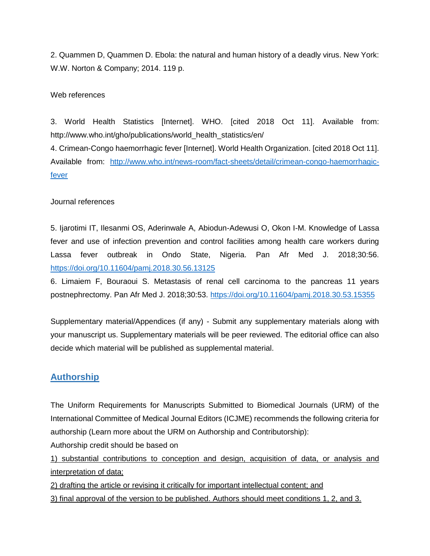2. Quammen D, Quammen D. Ebola: the natural and human history of a deadly virus. New York: W.W. Norton & Company; 2014. 119 p.

#### Web references

3. World Health Statistics [Internet]. WHO. [cited 2018 Oct 11]. Available from: http://www.who.int/gho/publications/world\_health\_statistics/en/

4. Crimean-Congo haemorrhagic fever [Internet]. World Health Organization. [cited 2018 Oct 11]. Available from: [http://www.who.int/news-room/fact-sheets/detail/crimean-congo-haemorrhagic](http://www.who.int/news-room/fact-sheets/detail/crimean-congo-haemorrhagic-fever)[fever](http://www.who.int/news-room/fact-sheets/detail/crimean-congo-haemorrhagic-fever)

#### Journal references

5. Ijarotimi IT, Ilesanmi OS, Aderinwale A, Abiodun-Adewusi O, Okon I-M. Knowledge of Lassa fever and use of infection prevention and control facilities among health care workers during Lassa fever outbreak in Ondo State, Nigeria. Pan Afr Med J. 2018;30:56. <https://doi.org/10.11604/pamj.2018.30.56.13125>

6. Limaiem F, Bouraoui S. Metastasis of renal cell carcinoma to the pancreas 11 years postnephrectomy. Pan Afr Med J. 2018;30:53.<https://doi.org/10.11604/pamj.2018.30.53.15355>

Supplementary material/Appendices (if any) - Submit any supplementary materials along with your manuscript us. Supplementary materials will be peer reviewed. The editorial office can also decide which material will be published as supplemental material.

### <span id="page-16-0"></span>**Authorship**

The Uniform Requirements for Manuscripts Submitted to Biomedical Journals (URM) of the International Committee of Medical Journal Editors (ICJME) recommends the following criteria for authorship (Learn more about the URM on Authorship and Contributorship):

Authorship credit should be based on

1) substantial contributions to conception and design, acquisition of data, or analysis and interpretation of data;

2) drafting the article or revising it critically for important intellectual content; and

3) final approval of the version to be published. Authors should meet conditions 1, 2, and 3.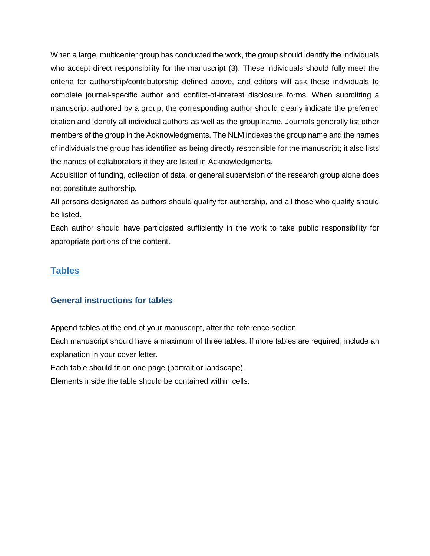When a large, multicenter group has conducted the work, the group should identify the individuals who accept direct responsibility for the manuscript (3). These individuals should fully meet the criteria for authorship/contributorship defined above, and editors will ask these individuals to complete journal-specific author and conflict-of-interest disclosure forms. When submitting a manuscript authored by a group, the corresponding author should clearly indicate the preferred citation and identify all individual authors as well as the group name. Journals generally list other members of the group in the Acknowledgments. The NLM indexes the group name and the names of individuals the group has identified as being directly responsible for the manuscript; it also lists the names of collaborators if they are listed in Acknowledgments.

Acquisition of funding, collection of data, or general supervision of the research group alone does not constitute authorship.

All persons designated as authors should qualify for authorship, and all those who qualify should be listed.

Each author should have participated sufficiently in the work to take public responsibility for appropriate portions of the content.

### <span id="page-17-0"></span>**Tables**

### <span id="page-17-1"></span>**General instructions for tables**

Append tables at the end of your manuscript, after the reference section Each manuscript should have a maximum of three tables. If more tables are required, include an explanation in your cover letter.

Each table should fit on one page (portrait or landscape).

Elements inside the table should be contained within cells.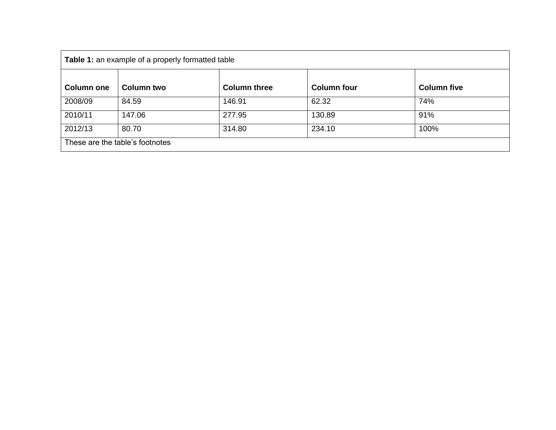| Table 1: an example of a properly formatted table |                   |                     |                    |                    |  |  |  |
|---------------------------------------------------|-------------------|---------------------|--------------------|--------------------|--|--|--|
| <b>Column one</b>                                 | <b>Column two</b> | <b>Column three</b> | <b>Column four</b> | <b>Column five</b> |  |  |  |
| 2008/09                                           | 84.59             | 146.91              | 62.32              | 74%                |  |  |  |
| 2010/11                                           | 147.06            | 277.95              | 130.89             | 91%                |  |  |  |
| 2012/13                                           | 80.70             | 314.80              | 234.10             | 100%               |  |  |  |
| These are the table's footnotes                   |                   |                     |                    |                    |  |  |  |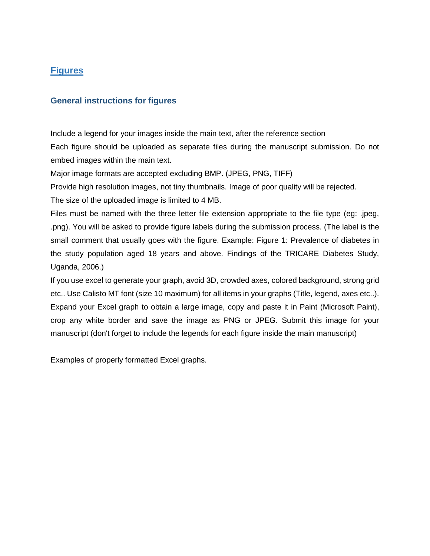### <span id="page-19-0"></span>**Figures**

### <span id="page-19-1"></span>**General instructions for figures**

Include a legend for your images inside the main text, after the reference section Each figure should be uploaded as separate files during the manuscript submission. Do not embed images within the main text.

Major image formats are accepted excluding BMP. (JPEG, PNG, TIFF)

Provide high resolution images, not tiny thumbnails. Image of poor quality will be rejected.

The size of the uploaded image is limited to 4 MB.

Files must be named with the three letter file extension appropriate to the file type (eg: .jpeg, .png). You will be asked to provide figure labels during the submission process. (The label is the small comment that usually goes with the figure. Example: Figure 1: Prevalence of diabetes in the study population aged 18 years and above. Findings of the TRICARE Diabetes Study, Uganda, 2006.)

If you use excel to generate your graph, avoid 3D, crowded axes, colored background, strong grid etc.. Use Calisto MT font (size 10 maximum) for all items in your graphs (Title, legend, axes etc..). Expand your Excel graph to obtain a large image, copy and paste it in Paint (Microsoft Paint), crop any white border and save the image as PNG or JPEG. Submit this image for your manuscript (don't forget to include the legends for each figure inside the main manuscript)

Examples of properly formatted Excel graphs.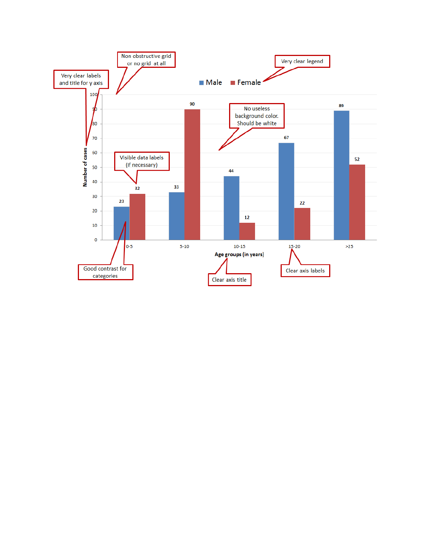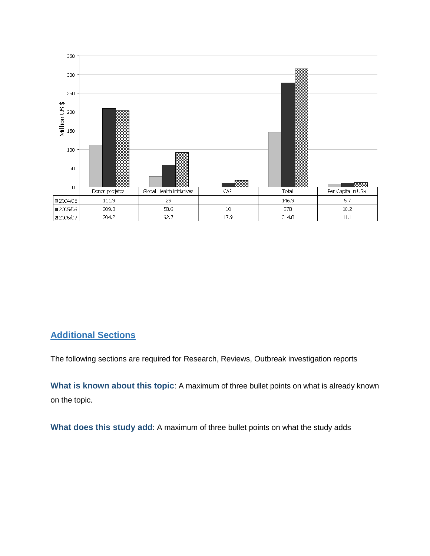

### <span id="page-21-0"></span>**Additional Sections**

The following sections are required for Research, Reviews, Outbreak investigation reports

<span id="page-21-1"></span>**What is known about this topic**: A maximum of three bullet points on what is already known on the topic.

<span id="page-21-2"></span>**What does this study add**: A maximum of three bullet points on what the study adds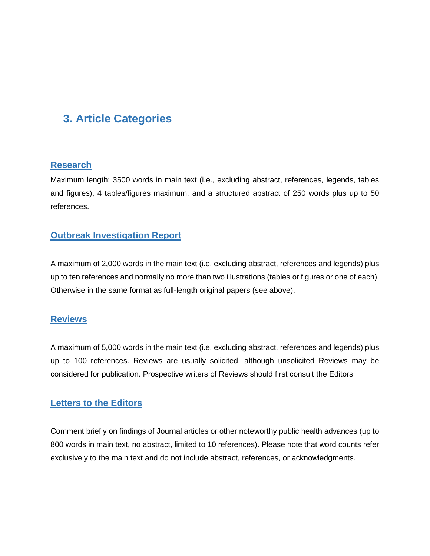# <span id="page-22-0"></span>**3. Article Categories**

### <span id="page-22-1"></span>**Research**

Maximum length: 3500 words in main text (i.e., excluding abstract, references, legends, tables and figures), 4 tables/figures maximum, and a structured abstract of 250 words plus up to 50 references.

### <span id="page-22-2"></span>**Outbreak Investigation Report**

A maximum of 2,000 words in the main text (i.e. excluding abstract, references and legends) plus up to ten references and normally no more than two illustrations (tables or figures or one of each). Otherwise in the same format as full-length original papers (see above).

### <span id="page-22-3"></span>**Reviews**

A maximum of 5,000 words in the main text (i.e. excluding abstract, references and legends) plus up to 100 references. Reviews are usually solicited, although unsolicited Reviews may be considered for publication. Prospective writers of Reviews should first consult the Editors

### <span id="page-22-4"></span>**Letters to the Editors**

Comment briefly on findings of Journal articles or other noteworthy public health advances (up to 800 words in main text, no abstract, limited to 10 references). Please note that word counts refer exclusively to the main text and do not include abstract, references, or acknowledgments.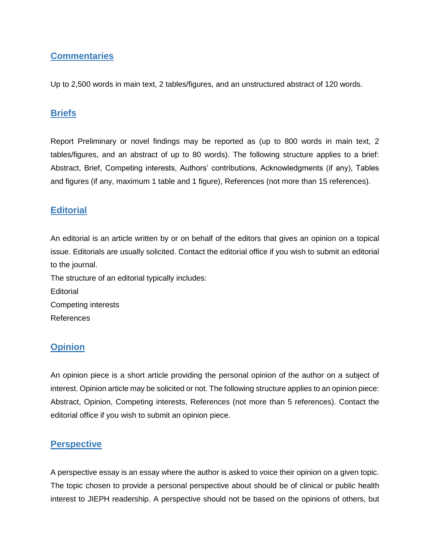### <span id="page-23-0"></span>**Commentaries**

Up to 2,500 words in main text, 2 tables/figures, and an unstructured abstract of 120 words.

### <span id="page-23-1"></span>**Briefs**

Report Preliminary or novel findings may be reported as (up to 800 words in main text, 2 tables/figures, and an abstract of up to 80 words). The following structure applies to a brief: Abstract, Brief, Competing interests, Authors' contributions, Acknowledgments (if any), Tables and figures (if any, maximum 1 table and 1 figure), References (not more than 15 references).

### <span id="page-23-2"></span>**Editorial**

An editorial is an article written by or on behalf of the editors that gives an opinion on a topical issue. Editorials are usually solicited. Contact the editorial office if you wish to submit an editorial to the journal. The structure of an editorial typically includes: **Editorial** Competing interests References

### <span id="page-23-3"></span>**Opinion**

An opinion piece is a short article providing the personal opinion of the author on a subject of interest. Opinion article may be solicited or not. The following structure applies to an opinion piece: Abstract, Opinion, Competing interests, References (not more than 5 references). Contact the editorial office if you wish to submit an opinion piece.

### <span id="page-23-4"></span>**Perspective**

A perspective essay is an essay where the author is asked to voice their opinion on a given topic. The topic chosen to provide a personal perspective about should be of clinical or public health interest to JIEPH readership. A perspective should not be based on the opinions of others, but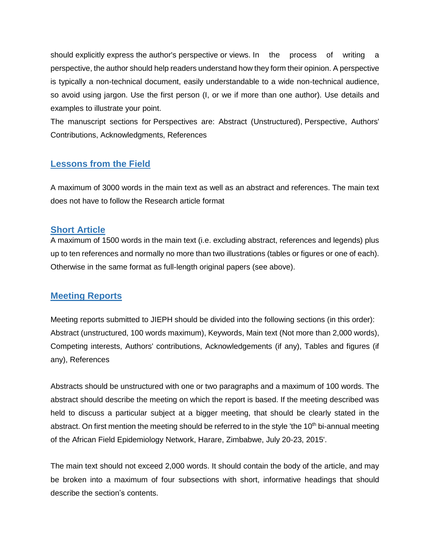should explicitly express the author's perspective or views. In the process of writing a perspective, the author should help readers understand how they form their opinion. A perspective is typically a non-technical document, easily understandable to a wide non-technical audience, so avoid using jargon. Use the first person (I, or we if more than one author). Use details and examples to illustrate your point.

The manuscript sections for Perspectives are: Abstract (Unstructured), Perspective, Authors' Contributions, Acknowledgments, References

### <span id="page-24-0"></span>**Lessons from the Field**

A maximum of 3000 words in the main text as well as an abstract and references. The main text does not have to follow the Research article format

### <span id="page-24-1"></span>**Short Article**

A maximum of 1500 words in the main text (i.e. excluding abstract, references and legends) plus up to ten references and normally no more than two illustrations (tables or figures or one of each). Otherwise in the same format as full-length original papers (see above).

### <span id="page-24-2"></span>**Meeting Reports**

Meeting reports submitted to JIEPH should be divided into the following sections (in this order): Abstract (unstructured, 100 words maximum), Keywords, Main text (Not more than 2,000 words), Competing interests, Authors' contributions, Acknowledgements (if any), Tables and figures (if any), References

Abstracts should be unstructured with one or two paragraphs and a maximum of 100 words. The abstract should describe the meeting on which the report is based. If the meeting described was held to discuss a particular subject at a bigger meeting, that should be clearly stated in the abstract. On first mention the meeting should be referred to in the style 'the  $10<sup>th</sup>$  bi-annual meeting of the African Field Epidemiology Network, Harare, Zimbabwe, July 20-23, 2015'.

The main text should not exceed 2,000 words. It should contain the body of the article, and may be broken into a maximum of four subsections with short, informative headings that should describe the section's contents.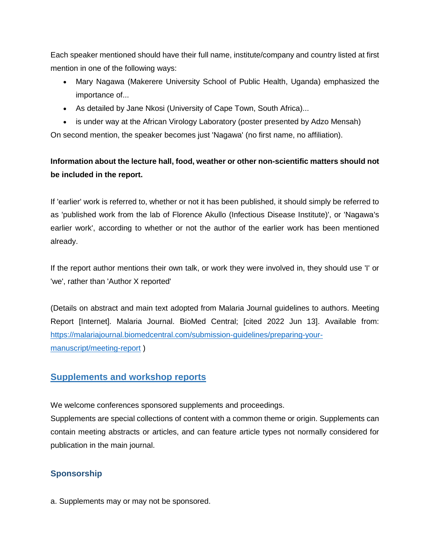Each speaker mentioned should have their full name, institute/company and country listed at first mention in one of the following ways:

- Mary Nagawa (Makerere University School of Public Health, Uganda) emphasized the importance of...
- As detailed by Jane Nkosi (University of Cape Town, South Africa)...
- is under way at the African Virology Laboratory (poster presented by Adzo Mensah)

On second mention, the speaker becomes just 'Nagawa' (no first name, no affiliation).

### **Information about the lecture hall, food, weather or other non-scientific matters should not be included in the report.**

If 'earlier' work is referred to, whether or not it has been published, it should simply be referred to as 'published work from the lab of Florence Akullo (Infectious Disease Institute)', or 'Nagawa's earlier work', according to whether or not the author of the earlier work has been mentioned already.

If the report author mentions their own talk, or work they were involved in, they should use 'I' or 'we', rather than 'Author X reported'

(Details on abstract and main text adopted from Malaria Journal guidelines to authors. Meeting Report [Internet]. Malaria Journal. BioMed Central; [cited 2022 Jun 13]. Available from: [https://malariajournal.biomedcentral.com/submission-guidelines/preparing-your](https://malariajournal.biomedcentral.com/submission-guidelines/preparing-your-manuscript/meeting-report)[manuscript/meeting-report](https://malariajournal.biomedcentral.com/submission-guidelines/preparing-your-manuscript/meeting-report) )

### <span id="page-25-0"></span>**Supplements and workshop reports**

We welcome conferences sponsored supplements and proceedings.

Supplements are special collections of content with a common theme or origin. Supplements can contain meeting abstracts or articles, and can feature article types not normally considered for publication in the main journal.

### <span id="page-25-1"></span>**Sponsorship**

a. Supplements may or may not be sponsored.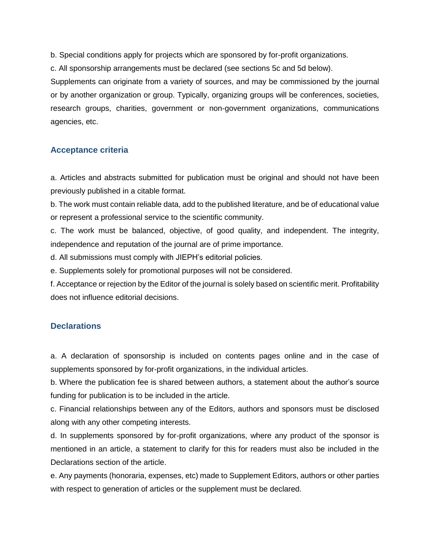b. Special conditions apply for projects which are sponsored by for-profit organizations.

c. All sponsorship arrangements must be declared (see sections 5c and 5d below).

Supplements can originate from a variety of sources, and may be commissioned by the journal or by another organization or group. Typically, organizing groups will be conferences, societies, research groups, charities, government or non-government organizations, communications agencies, etc.

### <span id="page-26-0"></span>**Acceptance criteria**

a. Articles and abstracts submitted for publication must be original and should not have been previously published in a citable format.

b. The work must contain reliable data, add to the published literature, and be of educational value or represent a professional service to the scientific community.

c. The work must be balanced, objective, of good quality, and independent. The integrity, independence and reputation of the journal are of prime importance.

d. All submissions must comply with JIEPH's editorial policies.

e. Supplements solely for promotional purposes will not be considered.

f. Acceptance or rejection by the Editor of the journal is solely based on scientific merit. Profitability does not influence editorial decisions.

### <span id="page-26-1"></span>**Declarations**

a. A declaration of sponsorship is included on contents pages online and in the case of supplements sponsored by for-profit organizations, in the individual articles.

b. Where the publication fee is shared between authors, a statement about the author's source funding for publication is to be included in the article.

c. Financial relationships between any of the Editors, authors and sponsors must be disclosed along with any other competing interests.

d. In supplements sponsored by for-profit organizations, where any product of the sponsor is mentioned in an article, a statement to clarify for this for readers must also be included in the Declarations section of the article.

e. Any payments (honoraria, expenses, etc) made to Supplement Editors, authors or other parties with respect to generation of articles or the supplement must be declared.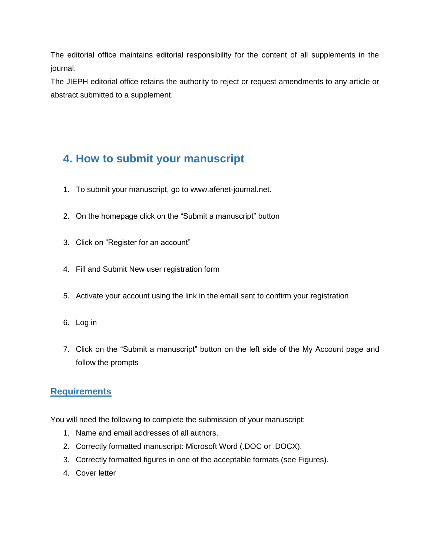The editorial office maintains editorial responsibility for the content of all supplements in the journal.

The JIEPH editorial office retains the authority to reject or request amendments to any article or abstract submitted to a supplement.

# <span id="page-27-0"></span>**4. How to submit your manuscript**

- 1. To submit your manuscript, go to www.afenet-journal.net.
- 2. On the homepage click on the "Submit a manuscript" button
- 3. Click on "Register for an account"
- 4. Fill and Submit New user registration form
- 5. Activate your account using the link in the email sent to confirm your registration
- 6. Log in
- 7. Click on the "Submit a manuscript" button on the left side of the My Account page and follow the prompts

### <span id="page-27-1"></span>**Requirements**

You will need the following to complete the submission of your manuscript:

- 1. Name and email addresses of all authors.
- 2. Correctly formatted manuscript: Microsoft Word (.DOC or .DOCX).
- 3. Correctly formatted figures in one of the acceptable formats (see Figures).
- 4. Cover letter